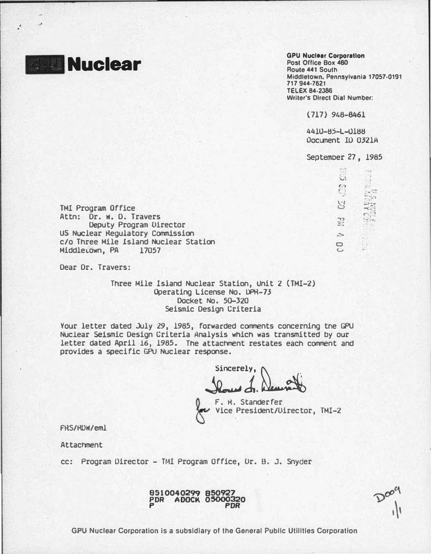

 $\cdot$  .

Post Office Box 480 Route 441 South Middletown, Pennsylvania 17057·0191 717 944·7621 TELEX 84·2386 Writer's Direct Dial Number:

( 717) 948-8461

4410-85-L-0188 Document ID 0321A

Septemoer 27 , 1985

| 52 |  |
|----|--|
| 끍  |  |
|    |  |
| CO |  |

external control

TMI Program Office Attn: Dr. w. D. Travers Deputy Program Director us Nuclear �egulatory Commission c/o Three Mile Island Nuclear Station Middle.own, PA 17057

Dear Dr. Travers:

Three Mile Island Nuclear Station, Unit 2 (TMI-2) Operating License No. OPR-73 Docket No. 50-320 Seismic Design Criteria

Your letter dated July 29, 1985, forwarded comments concerning the GPU Nuclear Seismic Design Criteria Analysis which was transmitted by our letter dated April 16, 1985. The attachment restates each comment and provides a specific GPU Nuclear response.

Sincerely, Duncato

 $\sqrt{\epsilon}$ F. H. Standerfer Vice President/Director, TMI-2

FRS/HDW/eml

Attachment

cc: Program Director - TMI Program Office, Dr. B. J. Snyder

 $D^{\infty}$ 



GPU Nuclear Corporation is a subsidiary of the General Public Utilities Corporation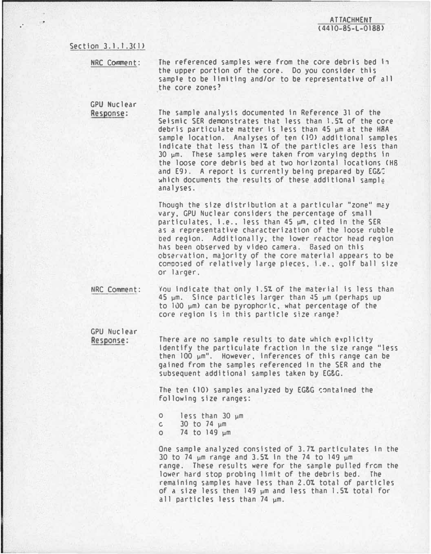## Section 3.1.1.3(1)

.·

NRC Comment:

The referenced samples were from the core debris bed in the upper portion of the core. Do you consider this sample to be limiting and/or to be representative of all the core zones?

GPU Nuclear Response:

The sample analysis documented in Reference 31 of the Seismic SER demonstrates that less than 1.5% of the core debris particulate matter is less than 45 µm at the H8A sample location. Analyses of ten (10) additional samples indicate that less than 1% of the particles are less than 30 �m. These samples were taken from varying depths In the loose core debris bed at two horizontal locations <HS and E9). A report is currently being prepared by EG&C which documents the results of these additional sample analyses.

Though the size distribution at a particular "zone" may vary, GPU Nuclear considers the percentage of small particulates, i.e., less than 45  $\mu$ m, cited in the SER as a representative characterization of the loose rubble oed region. Additionally, the lower reactor head region has been observed by video camera. Based on this observation, majority of the core material appears to be co�oo;ed of relatively large pieces. i.e .• golf ball size or larger.

IIRC Comment: You indicate that only 1.5% of the material is less than  $45 \mu m$ . Since particles larger than  $45 \mu m$  (perhaps up to 100  $\mu$ m) can be pyrophoric, what percentage of the core region Is In this particle size range?

GPU Nuclear Response:

There are no sample results to date which explicity Identify the particulate fraction in the size range "less then 100 �m". However, Inferences of this range can be gained from the samples referenced in the SER and the subsequent additional samples taken by EG&G.

The ten (10) samples analyzed by EG&G contained the following size ranges:

- o less than 30 �m  $c = 30$  to 74  $\mu$ m
- o 74 to 149 �m

One sample analyzed consisted of 3.7% particulates in the 30 to 74  $\mu$ m range and 3.5% in the 74 to 149  $\mu$ m range. These results were for the sample pulled from the lower hard stop probing limit of the debris bed. The remaining samples have less than 2.0% total of particles of a size less then 149 �m and less than 1.51 total for all particles less than 74  $µm$ .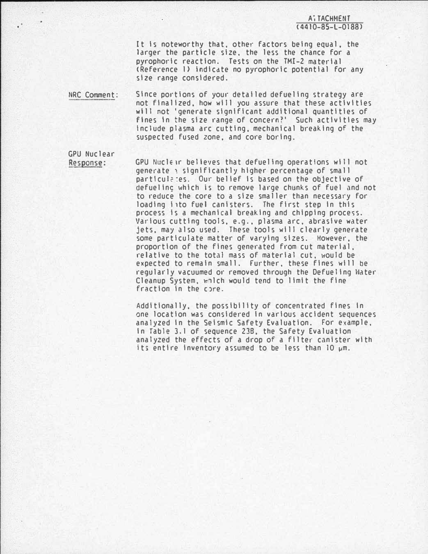**A**<sup>T</sup> TACHMENT  $(4410 - 85 - 1 - 0188)$ 

It is noteworthy that, other factors being equal, the larger the particle size, the less the chance for a pyrophoric reaction. Tests on the TMI-2 material <Reference 1) Indicate no pyrophoric potential for any size range considered.

NRC Comment: Since portions of your detailed defueling strategy are not finalized, how will you assure that these activities will not ' generate significant additional quantities of fines in the size range of concern?' Such activities may include plasma arc cutting, mechanical breaking of the suspected fused zone, and core boring.

GPU Nuclear Response:

GPU Nuclear believes that defueling operations will not generate : significantly higher percentage of small particulates. Our belief is based on the objective of defueling which is to remove large chunks of fuel and not to reduce the core to a size smaller than necessary for loading i ito fuel canisters. The first step in this process is a mechanical breaking and chipping proce�s. Various cutting tools, e.g., plasma arc. abrasive water jets, may also used. These tools will clearly generate some particulate matter of varying sizes. However, the proportion of the fines generated from cut material. relative to the total mass of material cut, would be expected to remain small. Further, these fines will be regularly vacuumed or removed through the Defueling Mater Cleanup System, which would tend to limit the fine fraction in the core.

Additionally, the possibility of concentrated fines In one location was considered In various accident sequences analyzed In the Seismic Safety Evaluation. For example, In Table 3.1 of sequence 238, the Safety Evaluation analyzed the effects of a drop of a filter canister with its entire inventory assumed to be less than  $10 \mu m$ .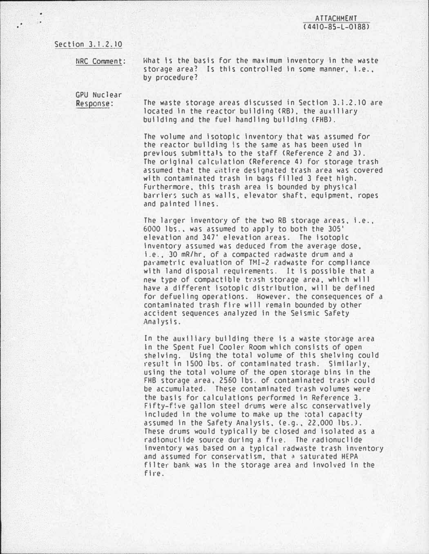Section 3.1.2 .10

 $\cdot$ 

tiRC Comment:

What is the basis for the maximum inventory in the waste storage area? Is this controlled in some manner, i.e., by procedure?

GPU Nuclear Response:

The waste storage areas discussed in Section 3.1.2.10 are located in the reactor building (RB), the auxiliary building and the fuel handling building <FHB>.

The volume and isotopic inventory that was assumed for the reactor building is the same as has been used In previous submittals to the staff (Reference 2 and 3). The original calculation (Reference 4) for storage trash assumed that the entire designated trash area was covered with contaminated trash In bags filled 3 feet high. Furthermore, this trash area is bounded by physical barriers such as walls, elevator shaft, equipment, ropes and painted lines.

The larger inventory of the two RB storage areas, i.e., 6000 lbs .• was assumed to apply to both the 305' elevation and 347' elevation areas. The isotopic Inventory assumed was deduced from the average dose, i.e., 30 mR/hr, of a compacted radwaste drum and a parametric evaluatiOn of TMI-2 radwaste for compliance with land disposal requirements. It is possible that a new type of compactible trash storage area, which will have a different isotopic distribution, will be defined for defuellng operations. However. the consequences of a contaminated trash fire will remain bounded by other accident sequences analyzed in the Seismic Safety Analysis.

In the auxiliary building there is a waste storage area In the Spent Fuel Cooler Room which consists of open shelving. Using the total volume of this shelving could result in 1500 lbs. of contaminated trash. Similarly, using the total volume of the open storage bins in the FHB storage area, 2560 lbs. of contaminated trash could be accumulated. These contaminated trash volumes were the basis for calculations performed in Reference 3. Fifty-five gallon steel drums were also conservatively included in the volume to make up the rotal capacity assumed in the Safety Analysis, (e.g., 22,000 lbs.). These drums would typically be closed and isolated as a radionuclide source during a fire. The radionuclide inventory was based on a typical radwaste trash Inventory and assumed for conservatism, that a saturated HEPA filter bank was In the storage area and involved in the fire.